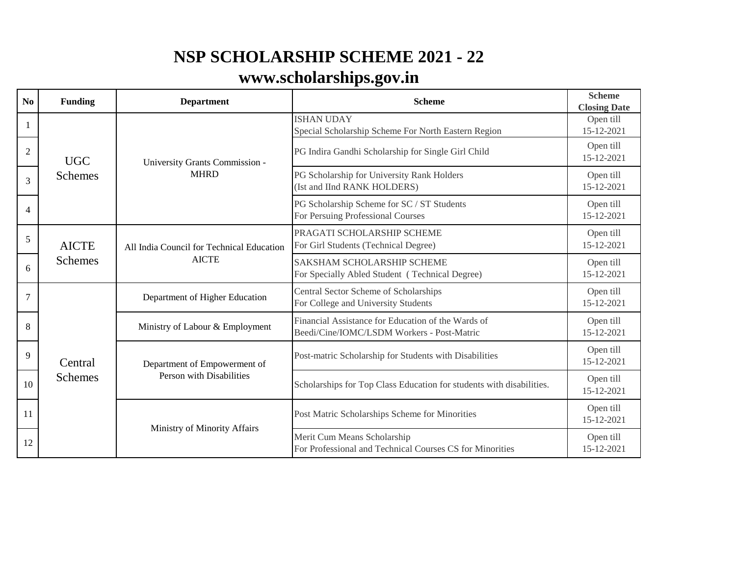## **NSP SCHOLARSHIP SCHEME 2021 - 22**

## **[www.scholarships.gov.in](http://www.scholarships.gov.in)**

| No             | <b>Funding</b>                 | <b>Department</b>                                         | <b>Scheme</b>                                                                                    | <b>Scheme</b><br><b>Closing Date</b> |
|----------------|--------------------------------|-----------------------------------------------------------|--------------------------------------------------------------------------------------------------|--------------------------------------|
| 1              | <b>UGC</b><br><b>Schemes</b>   | University Grants Commission -<br><b>MHRD</b>             | <b>ISHAN UDAY</b><br>Special Scholarship Scheme For North Eastern Region                         | Open till<br>15-12-2021              |
| $\overline{2}$ |                                |                                                           | PG Indira Gandhi Scholarship for Single Girl Child                                               | Open till<br>15-12-2021              |
| 3              |                                |                                                           | PG Scholarship for University Rank Holders<br>(Ist and IInd RANK HOLDERS)                        | Open till<br>15-12-2021              |
| $\overline{4}$ |                                |                                                           | PG Scholarship Scheme for SC / ST Students<br>For Persuing Professional Courses                  | Open till<br>15-12-2021              |
| $\sqrt{5}$     | <b>AICTE</b><br><b>Schemes</b> | All India Council for Technical Education<br><b>AICTE</b> | PRAGATI SCHOLARSHIP SCHEME<br>For Girl Students (Technical Degree)                               | Open till<br>15-12-2021              |
| 6              |                                |                                                           | <b>SAKSHAM SCHOLARSHIP SCHEME</b><br>For Specially Abled Student (Technical Degree)              | Open till<br>15-12-2021              |
| $\overline{7}$ | Central<br><b>Schemes</b>      | Department of Higher Education                            | Central Sector Scheme of Scholarships<br>For College and University Students                     | Open till<br>15-12-2021              |
| 8              |                                | Ministry of Labour & Employment                           | Financial Assistance for Education of the Wards of<br>Beedi/Cine/IOMC/LSDM Workers - Post-Matric | Open till<br>15-12-2021              |
| 9              |                                | Department of Empowerment of<br>Person with Disabilities  | Post-matric Scholarship for Students with Disabilities                                           | Open till<br>15-12-2021              |
| 10             |                                |                                                           | Scholarships for Top Class Education for students with disabilities.                             | Open till<br>15-12-2021              |
| 11             |                                | Ministry of Minority Affairs                              | Post Matric Scholarships Scheme for Minorities                                                   | Open till<br>15-12-2021              |
| 12             |                                |                                                           | Merit Cum Means Scholarship<br>For Professional and Technical Courses CS for Minorities          | Open till<br>15-12-2021              |